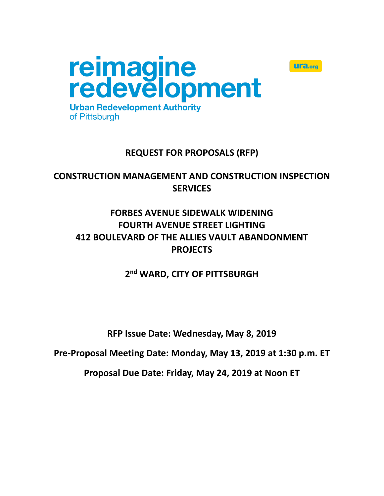

# **REQUEST FOR PROPOSALS (RFP)**

**Ulfa.org** 

**CONSTRUCTION MANAGEMENT AND CONSTRUCTION INSPECTION SERVICES**

# **FORBES AVENUE SIDEWALK WIDENING FOURTH AVENUE STREET LIGHTING 412 BOULEVARD OF THE ALLIES VAULT ABANDONMENT PROJECTS**

**2 nd WARD, CITY OF PITTSBURGH**

**RFP Issue Date: Wednesday, May 8, 2019**

**Pre-Proposal Meeting Date: Monday, May 13, 2019 at 1:30 p.m. ET**

**Proposal Due Date: Friday, May 24, 2019 at Noon ET**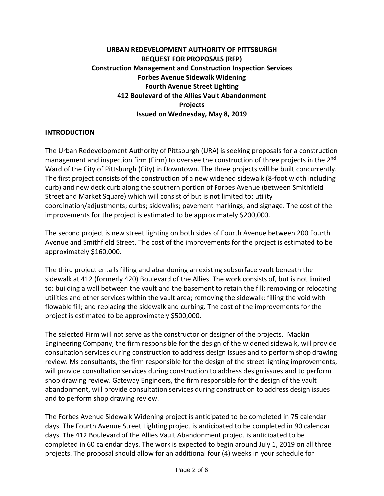## **URBAN REDEVELOPMENT AUTHORITY OF PITTSBURGH REQUEST FOR PROPOSALS (RFP) Construction Management and Construction Inspection Services Forbes Avenue Sidewalk Widening Fourth Avenue Street Lighting 412 Boulevard of the Allies Vault Abandonment Projects Issued on Wednesday, May 8, 2019**

#### **INTRODUCTION**

The Urban Redevelopment Authority of Pittsburgh (URA) is seeking proposals for a construction management and inspection firm (Firm) to oversee the construction of three projects in the 2<sup>nd</sup> Ward of the City of Pittsburgh (City) in Downtown. The three projects will be built concurrently. The first project consists of the construction of a new widened sidewalk (8-foot width including curb) and new deck curb along the southern portion of Forbes Avenue (between Smithfield Street and Market Square) which will consist of but is not limited to: utility coordination/adjustments; curbs; sidewalks; pavement markings; and signage. The cost of the improvements for the project is estimated to be approximately \$200,000.

The second project is new street lighting on both sides of Fourth Avenue between 200 Fourth Avenue and Smithfield Street. The cost of the improvements for the project is estimated to be approximately \$160,000.

The third project entails filling and abandoning an existing subsurface vault beneath the sidewalk at 412 (formerly 420) Boulevard of the Allies. The work consists of, but is not limited to: building a wall between the vault and the basement to retain the fill; removing or relocating utilities and other services within the vault area; removing the sidewalk; filling the void with flowable fill; and replacing the sidewalk and curbing. The cost of the improvements for the project is estimated to be approximately \$500,000.

The selected Firm will not serve as the constructor or designer of the projects. Mackin Engineering Company, the firm responsible for the design of the widened sidewalk, will provide consultation services during construction to address design issues and to perform shop drawing review. Ms consultants, the firm responsible for the design of the street lighting improvements, will provide consultation services during construction to address design issues and to perform shop drawing review. Gateway Engineers, the firm responsible for the design of the vault abandonment, will provide consultation services during construction to address design issues and to perform shop drawing review.

The Forbes Avenue Sidewalk Widening project is anticipated to be completed in 75 calendar days. The Fourth Avenue Street Lighting project is anticipated to be completed in 90 calendar days. The 412 Boulevard of the Allies Vault Abandonment project is anticipated to be completed in 60 calendar days. The work is expected to begin around July 1, 2019 on all three projects. The proposal should allow for an additional four (4) weeks in your schedule for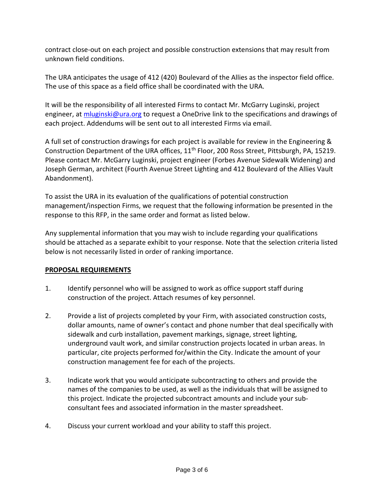contract close-out on each project and possible construction extensions that may result from unknown field conditions.

The URA anticipates the usage of 412 (420) Boulevard of the Allies as the inspector field office. The use of this space as a field office shall be coordinated with the URA.

It will be the responsibility of all interested Firms to contact Mr. McGarry Luginski, project engineer, at [mluginski@ura.org](mailto:mluginski@ura.org) to request a OneDrive link to the specifications and drawings of each project. Addendums will be sent out to all interested Firms via email.

A full set of construction drawings for each project is available for review in the Engineering & Construction Department of the URA offices, 11<sup>th</sup> Floor, 200 Ross Street, Pittsburgh, PA, 15219. Please contact Mr. McGarry Luginski, project engineer (Forbes Avenue Sidewalk Widening) and Joseph German, architect (Fourth Avenue Street Lighting and 412 Boulevard of the Allies Vault Abandonment).

To assist the URA in its evaluation of the qualifications of potential construction management/inspection Firms, we request that the following information be presented in the response to this RFP, in the same order and format as listed below.

Any supplemental information that you may wish to include regarding your qualifications should be attached as a separate exhibit to your response. Note that the selection criteria listed below is not necessarily listed in order of ranking importance.

### **PROPOSAL REQUIREMENTS**

- 1. Identify personnel who will be assigned to work as office support staff during construction of the project. Attach resumes of key personnel.
- 2. Provide a list of projects completed by your Firm, with associated construction costs, dollar amounts, name of owner's contact and phone number that deal specifically with sidewalk and curb installation, pavement markings, signage, street lighting, underground vault work, and similar construction projects located in urban areas. In particular, cite projects performed for/within the City. Indicate the amount of your construction management fee for each of the projects.
- 3. Indicate work that you would anticipate subcontracting to others and provide the names of the companies to be used, as well as the individuals that will be assigned to this project. Indicate the projected subcontract amounts and include your subconsultant fees and associated information in the master spreadsheet.
- 4. Discuss your current workload and your ability to staff this project.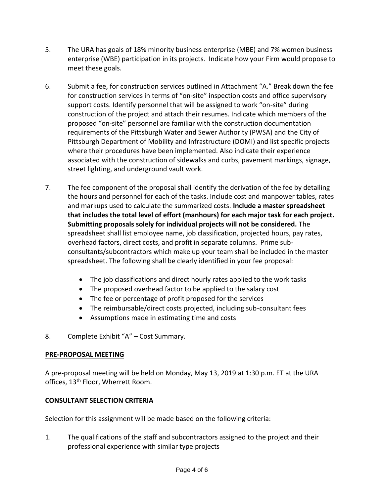- 5. The URA has goals of 18% minority business enterprise (MBE) and 7% women business enterprise (WBE) participation in its projects. Indicate how your Firm would propose to meet these goals.
- 6. Submit a fee, for construction services outlined in Attachment "A." Break down the fee for construction services in terms of "on-site" inspection costs and office supervisory support costs. Identify personnel that will be assigned to work "on-site" during construction of the project and attach their resumes. Indicate which members of the proposed "on-site" personnel are familiar with the construction documentation requirements of the Pittsburgh Water and Sewer Authority (PWSA) and the City of Pittsburgh Department of Mobility and Infrastructure (DOMI) and list specific projects where their procedures have been implemented. Also indicate their experience associated with the construction of sidewalks and curbs, pavement markings, signage, street lighting, and underground vault work.
- 7. The fee component of the proposal shall identify the derivation of the fee by detailing the hours and personnel for each of the tasks. Include cost and manpower tables, rates and markups used to calculate the summarized costs. **Include a master spreadsheet that includes the total level of effort (manhours) for each major task for each project. Submitting proposals solely for individual projects will not be considered.** The spreadsheet shall list employee name, job classification, projected hours, pay rates, overhead factors, direct costs, and profit in separate columns. Prime subconsultants/subcontractors which make up your team shall be included in the master spreadsheet. The following shall be clearly identified in your fee proposal:
	- The job classifications and direct hourly rates applied to the work tasks
	- The proposed overhead factor to be applied to the salary cost
	- The fee or percentage of profit proposed for the services
	- The reimbursable/direct costs projected, including sub-consultant fees
	- Assumptions made in estimating time and costs
- 8. Complete Exhibit "A" Cost Summary.

## **PRE-PROPOSAL MEETING**

A pre-proposal meeting will be held on Monday, May 13, 2019 at 1:30 p.m. ET at the URA offices, 13<sup>th</sup> Floor, Wherrett Room.

### **CONSULTANT SELECTION CRITERIA**

Selection for this assignment will be made based on the following criteria:

1. The qualifications of the staff and subcontractors assigned to the project and their professional experience with similar type projects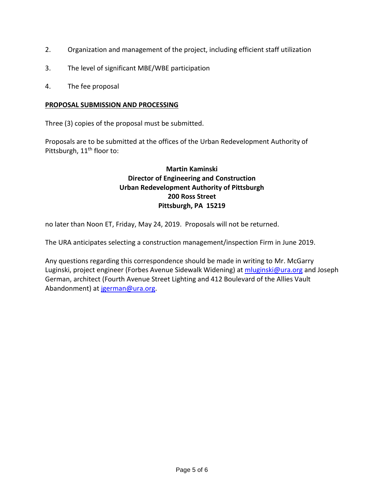- 2. Organization and management of the project, including efficient staff utilization
- 3. The level of significant MBE/WBE participation
- 4. The fee proposal

#### **PROPOSAL SUBMISSION AND PROCESSING**

Three (3) copies of the proposal must be submitted.

Proposals are to be submitted at the offices of the Urban Redevelopment Authority of Pittsburgh, 11<sup>th</sup> floor to:

### **Martin Kaminski Director of Engineering and Construction Urban Redevelopment Authority of Pittsburgh 200 Ross Street Pittsburgh, PA 15219**

no later than Noon ET, Friday, May 24, 2019. Proposals will not be returned.

The URA anticipates selecting a construction management/inspection Firm in June 2019.

Any questions regarding this correspondence should be made in writing to Mr. McGarry Luginski, project engineer (Forbes Avenue Sidewalk Widening) at [mluginski@ura.org](mailto:mluginski@ura.org) and Joseph German, architect (Fourth Avenue Street Lighting and 412 Boulevard of the Allies Vault Abandonment) at [jgerman@ura.org.](mailto:jgerman@ura.org)